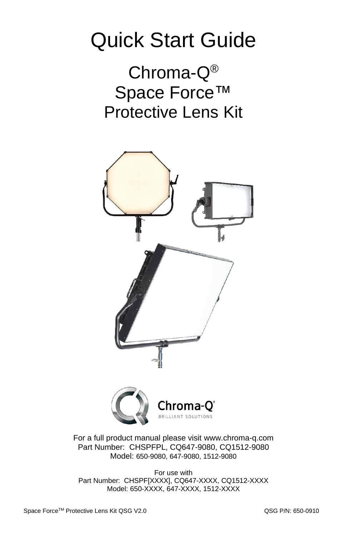## Quick Start Guide

Chroma-Q® Space Force™ Protective Lens Kit



For a full product manual please visit [www.chroma-q.com](http://www.chroma-q.com/) Part Number: CHSPFPL, CQ647-9080, CQ1512-9080 Model: 650-9080, 647-9080, 1512-9080

For use with Part Number: CHSPF[XXXX], CQ647-XXXX, CQ1512-XXXX Model: 650-XXXX, 647-XXXX, 1512-XXXX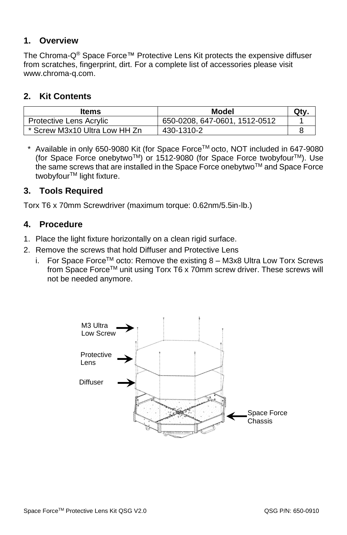#### **1. Overview**

The Chroma- $Q^{\circledast}$  Space Force™ Protective Lens Kit protects the expensive diffuser from scratches, fingerprint, dirt. For a complete list of accessories please visit [www.chroma-q.com.](http://www.chroma-q.com/)

#### **2. Kit Contents**

| Items                         | Model                         | Qtv |
|-------------------------------|-------------------------------|-----|
| Protective Lens Acrylic       | 650-0208, 647-0601, 1512-0512 |     |
| * Screw M3x10 Ultra Low HH Zn | 430-1310-2                    |     |

\* Available in only 650-9080 Kit (for Space ForceTM octo, NOT included in 647-9080 (for Space Force onebytwo<sup>TM</sup>) or 1512-9080 (for Space Force twobyfour<sup>TM</sup>). Use the same screws that are installed in the Space Force onebytwo™ and Space Force twobyfour<sup>™</sup> light fixture.

#### **3. Tools Required**

Torx T6 x 70mm Screwdriver (maximum torque: 0.62nm/5.5in‐lb.)

#### **4. Procedure**

- 1. Place the light fixture horizontally on a clean rigid surface.
- 2. Remove the screws that hold Diffuser and Protective Lens
	- i. For Space Force<sup>TM</sup> octo: Remove the existing  $8 M3x8$  Ultra Low Torx Screws from Space Force™ unit using Torx T6 x 70mm screw driver. These screws will not be needed anymore.

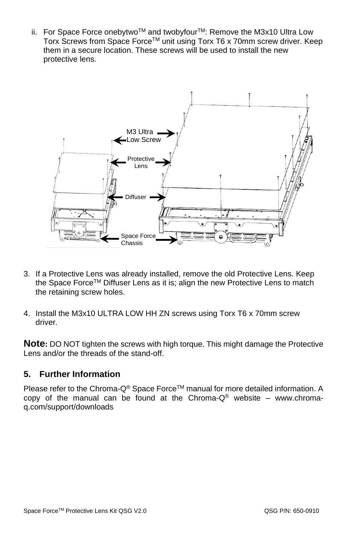ii. For Space Force onebytwo™ and twobyfour<sup>™</sup>: Remove the M3x10 Ultra Low Torx Screws from Space Force™ unit using Torx T6 x 70mm screw driver. Keep them in a secure location. These screws will be used to install the new protective lens.



- 3. If a Protective Lens was already installed, remove the old Protective Lens. Keep the Space Force™ Diffuser Lens as it is; align the new Protective Lens to match the retaining screw holes.
- 4. Install the M3x10 ULTRA LOW HH ZN screws using Torx T6 x 70mm screw driver.

**Note:** DO NOT tighten the screws with high torque. This might damage the Protective Lens and/or the threads of the stand-off.

#### **5. Further Information**

Please refer to the Chroma-Q® Space Force™ manual for more detailed information. A copy of the manual can be found at the Chroma- $Q^{\circledast}$  website – [www.chroma](http://www.chroma-q.com/support/downloads)[q.com/support/downloads](http://www.chroma-q.com/support/downloads)